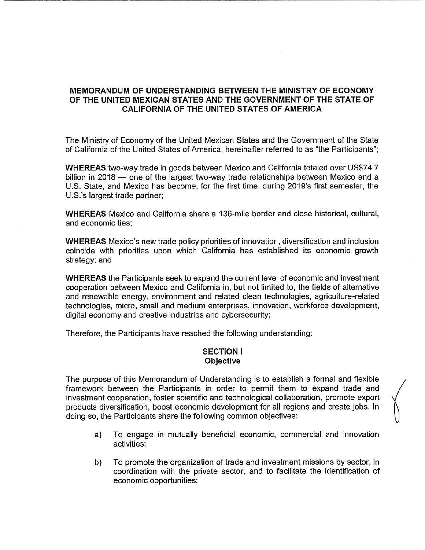#### **MEMORANDUM OF UNDERSTANDING BETWEEN THE MINISTRY OF ECONOMY**  MEMORANDUM OF UNDERSTANDING BETWEEN THE MINISTRY OF ECONOMY **OF THE UNITED MEXICAN STATES AND THE GOVERNMENT OF THE STATE OF**  OF THE UNITED MEXICAN STATES AND THE GOVERNMENT OF THE STATE OF **CALIFORNIA OF THE UNITED STATES OF AMERICA**  CALIFORNIA OF THE UNITED STATES OF AMERICA

The Ministry of Economy of the United Mexican States and the Government of the State The Ministry of Economy of the United Mexican States and the Government of the State of California of the United States of America, hereinafter referred to as "the Participants"; of California of the United States of America, hereinafter referred to as "the Participants";

**WHEREAS** two-way trade in goods between Mexico and California totaled over US\$74.7 WHEREAS two-way trade in goods between Mexico and California totaled over US\$74.7 billion in 2018 — one of the largest two-way trade relationships between Mexico and a U.S. State, and Mexico has become, for the first time, during 2019's first semester, the U.S. State, and Mexico has become, for the first time, during 2019's first semester, the U.S.'s largest trade partner; U.S.'s largest trade partner;

**WHEREAS** Mexico and California share a 136-mile border and close historical, cultural, WHEREAS Mexico and California share a 136-mile border and close historical, cultural, and economic ties; and economic ties;

**WHEREAS** Mexico's new trade policy priorities of innovation, diversification and inclusion WHEREAS Mexico's new trade policy priorities of innovation, diversification and inclusion coincide with priorities upon which California has established its economic growth coincide with priorities upon which California has established its economic growth strategy; and strategy; and

**WHEREAS** the Participants seek to expand the current level of economic and investment WHEREAS the Participants seek to expand the current level of economic and investment cooperation between Mexico and California in, but not limited to, the fields of alternative cooperation between Mexico and California in, but not limited to, the fields of alternative and renewable energy, environment and related clean technologies, agriculture-related and renewable energy, environment and related clean technologies, agriculture-related technologies, micro, small and medium enterprises, innovation, workforce development, technologies, micro, small and medium enterprises, innovation, workforce development, digital economy and creative industries and cybersecurity; digital economy and creative industries and cybersecurity;

Therefore, the Participants have reached the following understanding: Therefore, the Participants have reached the following understanding:

## **SECTION** I SECTION I **Objective**  Objective

The purpose of this Memorandum of Understanding is to establish a formal and flexible The purpose of this Memorandum of Understanding is to establish a formal and flexible framework between the Participants in order to permit them to expand trade and framework between the Participants in order to permit them to expand trade and investment cooperation, foster scientific and technological collaboration, promote export nvestment cooperation, foster scientific and technological collaboration, promote export products diversification, boost economic development for all regions and create jobs. In products diversification, boost economic development for all regions and create jobs. In doing so, the Participants share the following common objectives: doing so, the Participants share the following common objectives:

- a) To engage in mutually beneficial economic, commercial and innovation a) To engage in mutually beneficial economic, commercial and innovation activities; activities;
- b) To promote the organization of trade and investment missions by sector, in b) To promote the organization of trade and investment missions by sector, in coordination with the private sector, and to facilitate the identification of coordination with the private sector, and to facilitate the identification of economic opportunities; economic opportunities;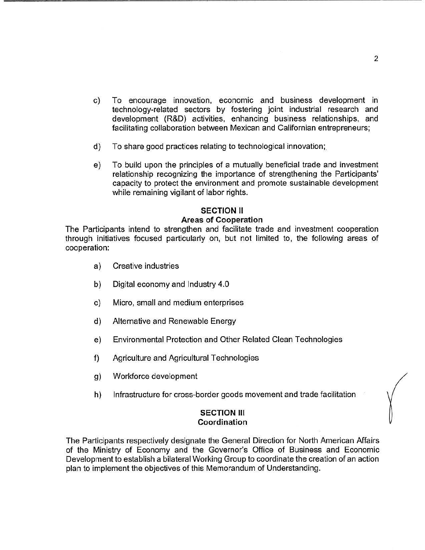- c) To encourage innovation, economic and business development in c) To encourage innovation, economic and business development in technology-related sectors by fostering joint industrial research and technology-related sectors by fostering joint industrial research and development (R&D) activities, enhancing business relationships, and development (R&D) activities, enhancing business relationships, and facilitating collaboration between Mexican and Californian entrepreneurs; facilitating collaboration between Mexican and Californian entrepreneurs;
- d) To share good practices relating to technological innovation;\_ d) To share good practices relating to technological innovation;
- e) To build upon the principles of a mutually beneficial trade and investment To build upon the principles of a mutually beneficial trade and investment relationship recognizing the importance of strengthening the Participants' relationship recognizing the importance of strengthening the Participants' capacity to protect the environment and promote sustainable development capacity to protect the environment and promote sustainable development while remaining vigilant of labor rights. while remaining vigilant of labor rights.

# **SECTION** II SECTION II **Areas of Cooperation**  Areas of Cooperation

The Participants intend to strengthen and facilitate trade and investment cooperation The Participants intend to strengthen and facilitate trade and investment cooperation through initiatives focused particularly on, but not limited to, the following areas of through initiatives focused particularly on, but not limited to, the following areas of cooperation: cooperation:

- a) Creative industries Creative industries
- b) Digital economy and Industry 4.0 b) Digital economy and Industry 4.0
- c) Micro, small and medium enterprises c) Micro, small and medium enterprises
- d) Alternative and Renewable Energy Alternative and Renewable Energy
- e) Environmental Protection and Other Related Clean Technologies e) Environmental Protection and Other Related Clean Technologies
- f) Agriculture and Agricultural Technologies f) Agriculture and Agricultural Technologies
- g) Workforce development g) Workforce development
- h) Infrastructure for cross-border goods movement and trade facilitation h) Infrastructure for cross-border goods movement and trade facilitation

#### **SECTION** Ill SECTION III **Coordination**  Coordination

The Participants respectively designate the General Direction for North American Affairs The Participants respectively designate the General Direction for North American Affairs of the Ministry of Economy and the Governor's Office of Business and Economic of the Ministry of Economy and the Governor's Office of Business and Economic Development to establish a bilateral Working Group to coordinate the creation of an action Development to establish a bilateral Working Group to coordinate the creation of an action plan to implement the objectives of this Memorandum of Understanding. plan to implement the objectives of this Memorandum of Understanding.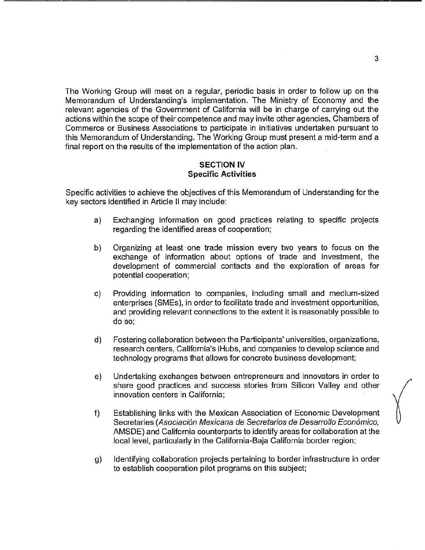The Working Group will meet on a regular, periodic basis in order to follow up on the The Working Group will meet on a regular, periodic basis in order to follow up on the Memorandum of Understanding's implementation. The Ministry of Economy and the Memorandum of Understanding's implementation. The Ministry of Economy and the relevant agencies of the Government of California will be in charge of carrying out the actions within the scope of their competence and may invite other agencies, Chambers of actions within the scope of their competence and may invite other agencies, Chambers of Commerce or Business Associations to participate in initiatives undertaken pursuant to Commerce or Business Associations to participate in initiatives undertaken pursuant to this Memorandum of Understanding. The Working Group must present a mid-term and a final report on the results of the implementation of the action plan. final report on the results of the implementation of the action plan.

#### **SECTION IV**  SECTION IV **Specific Activities**  Specific Activities

Specific activities to achieve the objectives of this Memorandum of Understanding for the Specific activities to achieve the objectives of this Memorandum of Understanding for the key sectors identified in Article II may include: key sectors identified in Article II may include:

- a) Exchanging information on good practices relating to specific projects a) Exchanging information on good practices relating to specific projects regarding the identified areas of cooperation; regarding the identified areas of cooperation;
- b) Organizing at least one trade mission every two years to focus on the b ) Organizing at least one trade mission every two years to focus on the exchange of information about options of trade and investment, the exchange of information about options of trade and investment, the development of commercial contacts and the exploration of areas for development of commercial contacts and the exploration of areas for potential cooperation; potential cooperation;
- c) Providing information to companies, including small and medium-sized C) Providing information to companies, including small and medium-sized enterprises (SMEs), in order to facilitate trade and investment opportunities, enterprises (SMEs), in order to facilitate trade and investment opportunities, and providing relevant connections to the extent it is reasonably possible to and providing relevant connections to the extent it is reasonably possible to do so; do so;
- d) Fostering collaboration between the Participants' universities, organizations, d) Fostering collaboration between the Participants' universities, organizations, research centers, California's iHubs, and companies to develop science and research centers, California's iHubs, and companies to develop science and technology programs that allows for concrete business development; technology programs that allows for concrete business development
- e) Undertaking exchanges between entrepreneurs and innovators in order to e) Undertaking exchanges between entrepreneurs and innovators in order to share good practices and success stories from Silicon Valley and other share good practices and success stories from Silicon Valley and other innovation centers in California; innovation centers in California;
- f) Establishing links with the Mexican Association of Economic Development f) Establishing links with the Mexican Association of Economic Development Secretaries (Asociación Mexicana de Secretarios de Desarrollo Económico, AMSDE) and California counterparts to identify areas for collaboration at the AMSDE) and California counterparts to identify areas for collaboration at the local level, particularly in the California-Baja California border region; local level, particularly in the California-Baja California border region;
- g) Identifying collaboration projects pertaining to border infrastructure in order g) Identifying collaboration projects pertaining to border infrastructure in order to establish cooperation pilot programs on this subject; to establish cooperation pilot programs on this subject;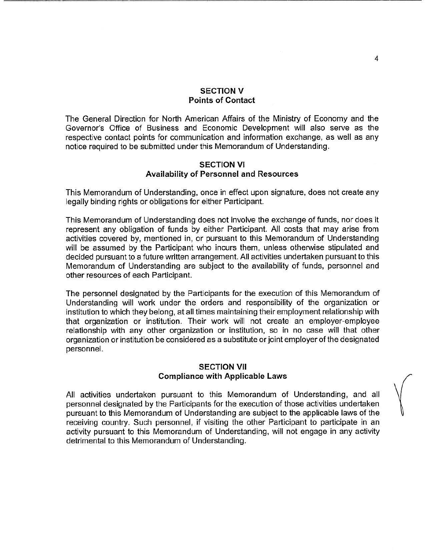#### **SECTION V**  SECTION V **Points of Contact**  Points of Contact

The General Direction for North American Affairs of the Ministry of Economy and the The General Direction for North American Affairs of the Ministry of Economy and the Governor's Office of Business and Economic Development will also serve as the Governor's Office of Business and Economic Development will also serve as the respective contact points for communication and information exchange, as well as any respective contact points for communication and information exchange, as well as any notice required to be submitted under this Memorandum of Understanding. notice required to be submitted under this Memorandum of Understanding.

#### **SECTION VI**  SECTION VI **Availability of Personnel and Resources**  Availability of Personnel and Resources

This Memorandum of Understanding, once in effect upon signature, does not create any This Memorandum of Understanding, once in effect upon signature, does not create any legally binding rights or obligations for either Participant. legally binding rights or obligations for either Participant.

This Memorandum of Understanding does not involve the exchange of funds, nor does it This Memorandum of Understanding does not involve the exchange of funds, nor does it represent any obligation of funds by either Participant. All costs that may arise from represent any obligation of funds by either Participant. All costs that may arise from activities covered by, mentioned in, or pursuant to this Memorandum of Understanding activities covered by, mentioned in, or pursuant to this Memorandum of Understanding will be assumed by the Participant who incurs them, unless otherwise stipulated and will be assumed by the Participant who incurs them, unless otherwise stipulated and decided pursuant to a future written arrangement. All activities undertaken pursuant to this decided pursuant to a future written arrangement. All activities undertaken pursuant to this Memorandum of Understanding are subject to the availability of funds, personnel and Memorandum of Understanding are subject to the availability of funds, personnel and other resources of each Participant. other resources of each Participant.

The personnel designated by the Participants for the execution of this Memorandum of The personnel designated by the Participants for the execution of this Memorandum of Understanding will work under the orders and responsibility of the organization or Understanding will work under the orders and responsibility of the organization or institution to which they belong, at all times maintaining their employment relationship with institution to which they belong, at all times maintaining their employment relationship with that organization or institution. Their work will not create an employer-employee that organization or institution. Their work will not create an employer-employee relationship with any other organization or institution, so in no case will that other relationship with any other organization or institution, so in no case will that other organization or institution be considered as a substitute or joint employer of the designated organization or institution be considered as a substitute or joint employer of the designated personnel. personnel.

# **SECTION VII**  SECTION VII **Compliance with Applicable Laws**  Compliance with Applicable Laws

All activities undertaken pursuant to this Memorandum of Understanding, and all All activities undertaken pursuant to this Memorandum of Understanding, and all personnel designated by the Participants for the execution of those activities undertaken personnel designated by the Participants for the execution of those activities undertaken pursuant to this Memorandum of Understanding are subject to the applicable laws of the pursuant to this Memorandum of Understanding are subject to the applicable laws of the receiving country. Such personnel, if visiting the other Participant to participate in an receiving country. Such personnel, if visiting the other Participant to participate in an activity pursuant to this Memorandum of Understanding, will not engage in any activity activity pursuant to this Memorandum of Understanding, will not engage in any activity detrimental to this Memorandum of Understanding. detrimental to this Memorandum of Understanding.

 $\sqrt{ }$